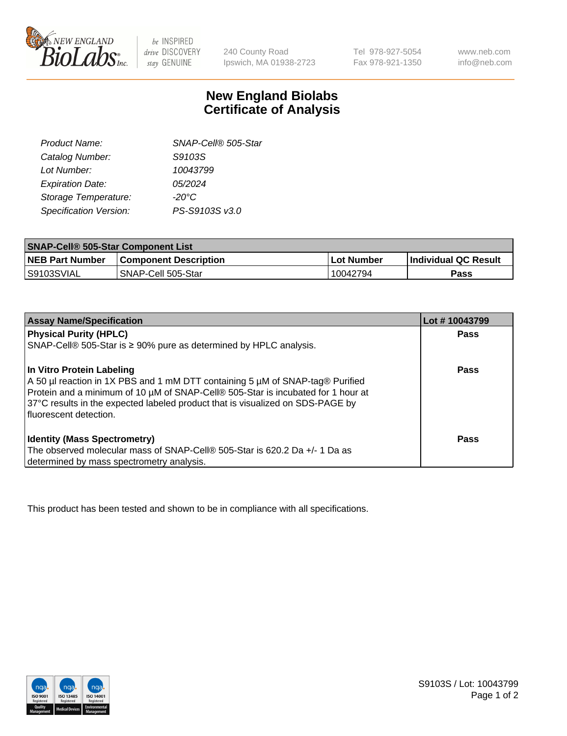

 $be$  INSPIRED drive DISCOVERY stay GENUINE

240 County Road Ipswich, MA 01938-2723 Tel 978-927-5054 Fax 978-921-1350

www.neb.com info@neb.com

## **New England Biolabs Certificate of Analysis**

| SNAP-Cell® 505-Star |
|---------------------|
| S9103S              |
| 10043799            |
| 05/2024             |
| $-20^{\circ}$ C     |
| PS-S9103S v3.0      |
|                     |

| <b>SNAP-Cell® 505-Star Component List</b> |                              |             |                             |  |
|-------------------------------------------|------------------------------|-------------|-----------------------------|--|
| <b>NEB Part Number</b>                    | <b>Component Description</b> | ⊺Lot Number | <b>Individual QC Result</b> |  |
| S9103SVIAL                                | SNAP-Cell 505-Star           | 10042794    | Pass                        |  |

| <b>Assay Name/Specification</b>                                                                                                                                                                                                                                                                              | Lot #10043799 |
|--------------------------------------------------------------------------------------------------------------------------------------------------------------------------------------------------------------------------------------------------------------------------------------------------------------|---------------|
| <b>Physical Purity (HPLC)</b>                                                                                                                                                                                                                                                                                | <b>Pass</b>   |
| SNAP-Cell® 505-Star is $\geq$ 90% pure as determined by HPLC analysis.                                                                                                                                                                                                                                       |               |
| In Vitro Protein Labeling<br>A 50 µl reaction in 1X PBS and 1 mM DTT containing 5 µM of SNAP-tag® Purified<br>Protein and a minimum of 10 µM of SNAP-Cell® 505-Star is incubated for 1 hour at<br>37°C results in the expected labeled product that is visualized on SDS-PAGE by<br>l fluorescent detection. | <b>Pass</b>   |
| <b>Identity (Mass Spectrometry)</b>                                                                                                                                                                                                                                                                          | Pass          |
| The observed molecular mass of SNAP-Cell® 505-Star is 620.2 Da +/- 1 Da as                                                                                                                                                                                                                                   |               |
| determined by mass spectrometry analysis.                                                                                                                                                                                                                                                                    |               |

This product has been tested and shown to be in compliance with all specifications.